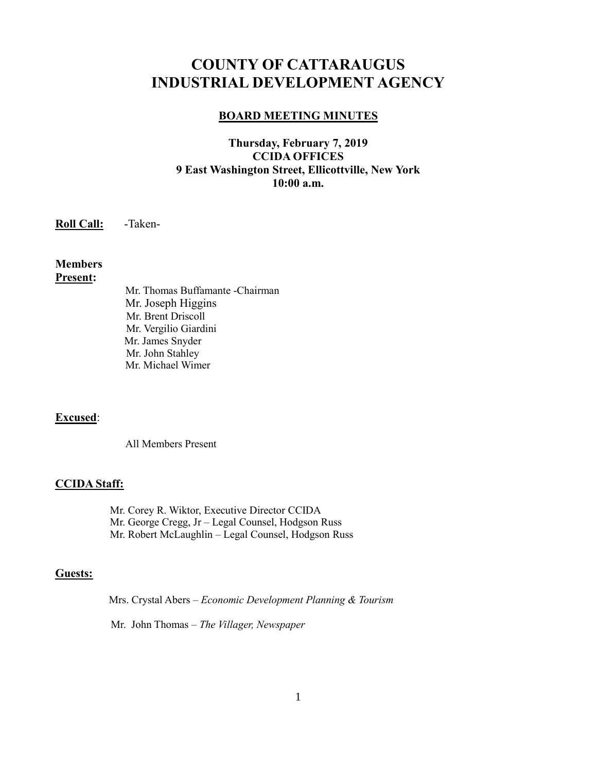# **COUNTY OF CATTARAUGUS INDUSTRIAL DEVELOPMENT AGENCY**

### **BOARD MEETING MINUTES**

# **Thursday, February 7, 2019 CCIDA OFFICES 9 East Washington Street, Ellicottville, New York 10:00 a.m.**

**Roll Call:** -Taken-

## **Members Present:**

Mr. Thomas Buffamante -Chairman Mr. Joseph Higgins Mr. Brent Driscoll Mr. Vergilio Giardini Mr. James Snyder Mr. John Stahley Mr. Michael Wimer

# **Excused**:

All Members Present

### **CCIDA Staff:**

Mr. Corey R. Wiktor, Executive Director CCIDA Mr. George Cregg, Jr – Legal Counsel, Hodgson Russ Mr. Robert McLaughlin – Legal Counsel, Hodgson Russ

### **Guests:**

Mrs. Crystal Abers – *Economic Development Planning & Tourism*

Mr. John Thomas – *The Villager, Newspaper*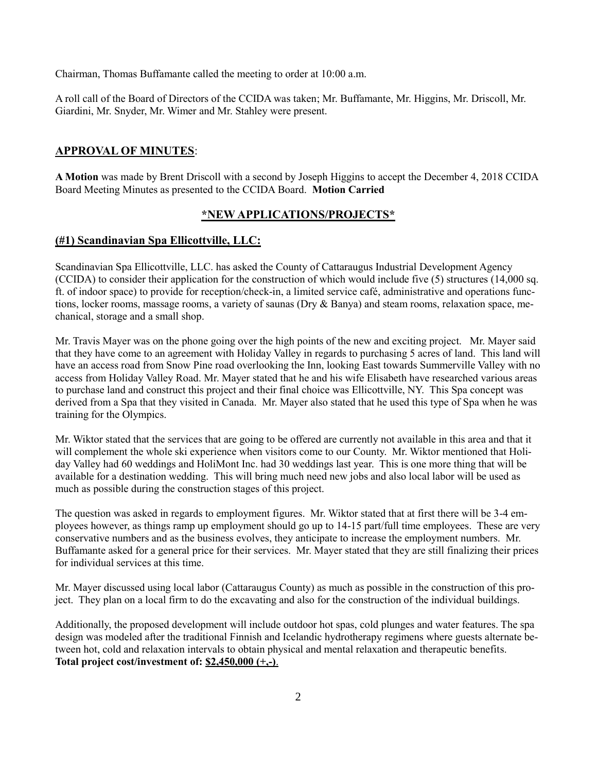Chairman, Thomas Buffamante called the meeting to order at 10:00 a.m.

A roll call of the Board of Directors of the CCIDA was taken; Mr. Buffamante, Mr. Higgins, Mr. Driscoll, Mr. Giardini, Mr. Snyder, Mr. Wimer and Mr. Stahley were present.

### **APPROVAL OF MINUTES**:

**A Motion** was made by Brent Driscoll with a second by Joseph Higgins to accept the December 4, 2018 CCIDA Board Meeting Minutes as presented to the CCIDA Board. **Motion Carried**

### **\*NEW APPLICATIONS/PROJECTS\***

### **(#1) Scandinavian Spa Ellicottville, LLC:**

Scandinavian Spa Ellicottville, LLC. has asked the County of Cattaraugus Industrial Development Agency (CCIDA) to consider their application for the construction of which would include five (5) structures (14,000 sq. ft. of indoor space) to provide for reception/check-in, a limited service café, administrative and operations functions, locker rooms, massage rooms, a variety of saunas (Dry & Banya) and steam rooms, relaxation space, mechanical, storage and a small shop.

Mr. Travis Mayer was on the phone going over the high points of the new and exciting project. Mr. Mayer said that they have come to an agreement with Holiday Valley in regards to purchasing 5 acres of land. This land will have an access road from Snow Pine road overlooking the Inn, looking East towards Summerville Valley with no access from Holiday Valley Road. Mr. Mayer stated that he and his wife Elisabeth have researched various areas to purchase land and construct this project and their final choice was Ellicottville, NY. This Spa concept was derived from a Spa that they visited in Canada. Mr. Mayer also stated that he used this type of Spa when he was training for the Olympics.

Mr. Wiktor stated that the services that are going to be offered are currently not available in this area and that it will complement the whole ski experience when visitors come to our County. Mr. Wiktor mentioned that Holiday Valley had 60 weddings and HoliMont Inc. had 30 weddings last year. This is one more thing that will be available for a destination wedding. This will bring much need new jobs and also local labor will be used as much as possible during the construction stages of this project.

The question was asked in regards to employment figures. Mr. Wiktor stated that at first there will be 3-4 employees however, as things ramp up employment should go up to 14-15 part/full time employees. These are very conservative numbers and as the business evolves, they anticipate to increase the employment numbers. Mr. Buffamante asked for a general price for their services. Mr. Mayer stated that they are still finalizing their prices for individual services at this time.

Mr. Mayer discussed using local labor (Cattaraugus County) as much as possible in the construction of this project. They plan on a local firm to do the excavating and also for the construction of the individual buildings.

Additionally, the proposed development will include outdoor hot spas, cold plunges and water features. The spa design was modeled after the traditional Finnish and Icelandic hydrotherapy regimens where guests alternate between hot, cold and relaxation intervals to obtain physical and mental relaxation and therapeutic benefits. **Total project cost/investment of: \$2,450,000 (+,-)**.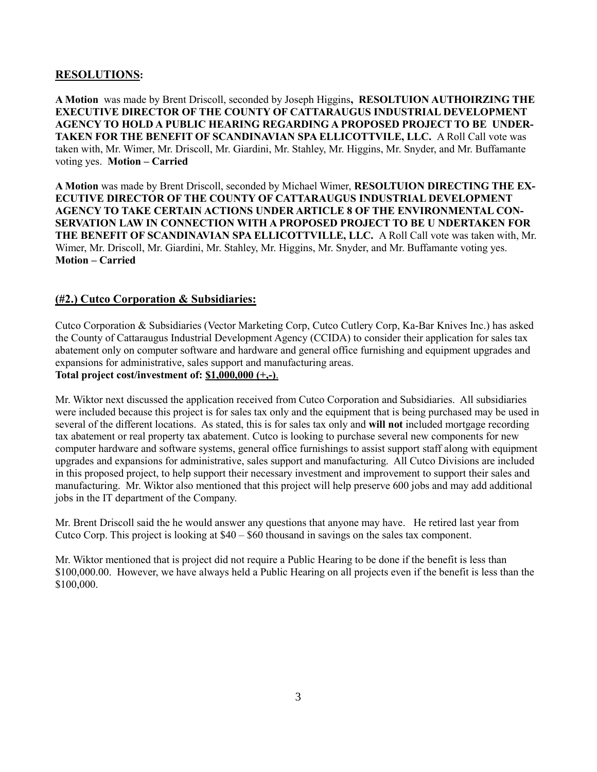# **RESOLUTIONS:**

**A Motion** was made by Brent Driscoll, seconded by Joseph Higgins**, RESOLTUION AUTHOIRZING THE EXECUTIVE DIRECTOR OF THE COUNTY OF CATTARAUGUS INDUSTRIAL DEVELOPMENT AGENCY TO HOLD A PUBLIC HEARING REGARDING A PROPOSED PROJECT TO BE UNDER-TAKEN FOR THE BENEFIT OF SCANDINAVIAN SPA ELLICOTTVILE, LLC.** A Roll Call vote was taken with, Mr. Wimer, Mr. Driscoll, Mr. Giardini, Mr. Stahley, Mr. Higgins, Mr. Snyder, and Mr. Buffamante voting yes. **Motion – Carried**

**A Motion** was made by Brent Driscoll, seconded by Michael Wimer, **RESOLTUION DIRECTING THE EX-ECUTIVE DIRECTOR OF THE COUNTY OF CATTARAUGUS INDUSTRIAL DEVELOPMENT AGENCY TO TAKE CERTAIN ACTIONS UNDER ARTICLE 8 OF THE ENVIRONMENTAL CON-SERVATION LAW IN CONNECTION WITH A PROPOSED PROJECT TO BE U NDERTAKEN FOR THE BENEFIT OF SCANDINAVIAN SPA ELLICOTTVILLE, LLC.** A Roll Call vote was taken with, Mr. Wimer, Mr. Driscoll, Mr. Giardini, Mr. Stahley, Mr. Higgins, Mr. Snyder, and Mr. Buffamante voting yes. **Motion – Carried**

## **(#2.) Cutco Corporation & Subsidiaries:**

Cutco Corporation & Subsidiaries (Vector Marketing Corp, Cutco Cutlery Corp, Ka-Bar Knives Inc.) has asked the County of Cattaraugus Industrial Development Agency (CCIDA) to consider their application for sales tax abatement only on computer software and hardware and general office furnishing and equipment upgrades and expansions for administrative, sales support and manufacturing areas. **Total project cost/investment of: \$1,000,000 (+,-)**.

Mr. Wiktor next discussed the application received from Cutco Corporation and Subsidiaries. All subsidiaries were included because this project is for sales tax only and the equipment that is being purchased may be used in several of the different locations. As stated, this is for sales tax only and **will not** included mortgage recording tax abatement or real property tax abatement. Cutco is looking to purchase several new components for new computer hardware and software systems, general office furnishings to assist support staff along with equipment upgrades and expansions for administrative, sales support and manufacturing. All Cutco Divisions are included in this proposed project, to help support their necessary investment and improvement to support their sales and manufacturing. Mr. Wiktor also mentioned that this project will help preserve 600 jobs and may add additional jobs in the IT department of the Company.

Mr. Brent Driscoll said the he would answer any questions that anyone may have. He retired last year from Cutco Corp. This project is looking at \$40 – \$60 thousand in savings on the sales tax component.

Mr. Wiktor mentioned that is project did not require a Public Hearing to be done if the benefit is less than \$100,000.00. However, we have always held a Public Hearing on all projects even if the benefit is less than the \$100,000.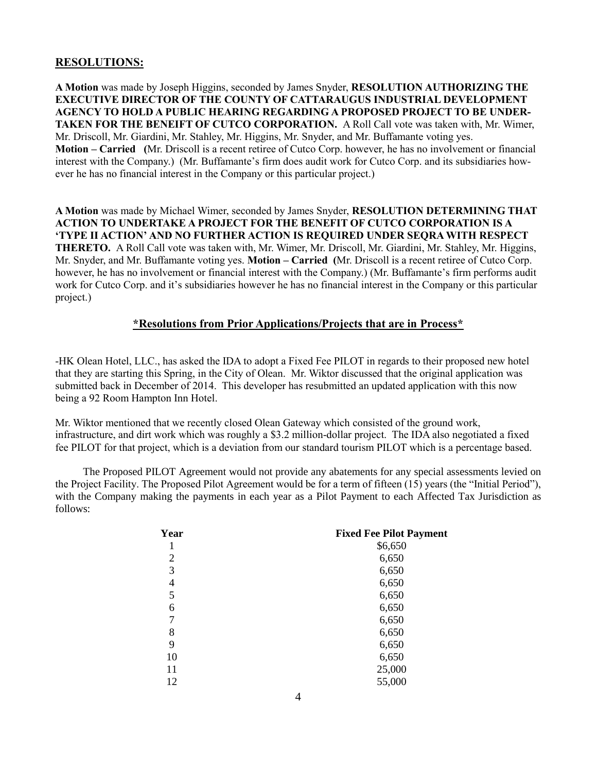### **RESOLUTIONS:**

**A Motion** was made by Joseph Higgins, seconded by James Snyder, **RESOLUTION AUTHORIZING THE EXECUTIVE DIRECTOR OF THE COUNTY OF CATTARAUGUS INDUSTRIAL DEVELOPMENT AGENCY TO HOLD A PUBLIC HEARING REGARDING A PROPOSED PROJECT TO BE UNDER-TAKEN FOR THE BENEIFT OF CUTCO CORPORATION.** A Roll Call vote was taken with, Mr. Wimer, Mr. Driscoll, Mr. Giardini, Mr. Stahley, Mr. Higgins, Mr. Snyder, and Mr. Buffamante voting yes. **Motion – Carried (**Mr. Driscoll is a recent retiree of Cutco Corp. however, he has no involvement or financial interest with the Company.) (Mr. Buffamante's firm does audit work for Cutco Corp. and its subsidiaries however he has no financial interest in the Company or this particular project.)

**A Motion** was made by Michael Wimer, seconded by James Snyder, **RESOLUTION DETERMINING THAT ACTION TO UNDERTAKE A PROJECT FOR THE BENEFIT OF CUTCO CORPORATION IS A 'TYPE II ACTION' AND NO FURTHER ACTION IS REQUIRED UNDER SEQRA WITH RESPECT THERETO.** A Roll Call vote was taken with, Mr. Wimer, Mr. Driscoll, Mr. Giardini, Mr. Stahley, Mr. Higgins, Mr. Snyder, and Mr. Buffamante voting yes. **Motion – Carried (**Mr. Driscoll is a recent retiree of Cutco Corp. however, he has no involvement or financial interest with the Company.) (Mr. Buffamante's firm performs audit work for Cutco Corp. and it's subsidiaries however he has no financial interest in the Company or this particular project.)

### **\*Resolutions from Prior Applications/Projects that are in Process\***

-HK Olean Hotel, LLC., has asked the IDA to adopt a Fixed Fee PILOT in regards to their proposed new hotel that they are starting this Spring, in the City of Olean. Mr. Wiktor discussed that the original application was submitted back in December of 2014. This developer has resubmitted an updated application with this now being a 92 Room Hampton Inn Hotel.

Mr. Wiktor mentioned that we recently closed Olean Gateway which consisted of the ground work, infrastructure, and dirt work which was roughly a \$3.2 million-dollar project. The IDA also negotiated a fixed fee PILOT for that project, which is a deviation from our standard tourism PILOT which is a percentage based.

The Proposed PILOT Agreement would not provide any abatements for any special assessments levied on the Project Facility. The Proposed Pilot Agreement would be for a term of fifteen (15) years (the "Initial Period"), with the Company making the payments in each year as a Pilot Payment to each Affected Tax Jurisdiction as follows:

| Year | <b>Fixed Fee Pilot Payment</b> |
|------|--------------------------------|
|      | \$6,650                        |
| 2    | 6,650                          |
| 3    | 6,650                          |
| 4    | 6,650                          |
| 5    | 6,650                          |
| 6    | 6,650                          |
| 7    | 6,650                          |
| 8    | 6,650                          |
| 9    | 6,650                          |
| 10   | 6,650                          |
| 11   | 25,000                         |
| 12   | 55,000                         |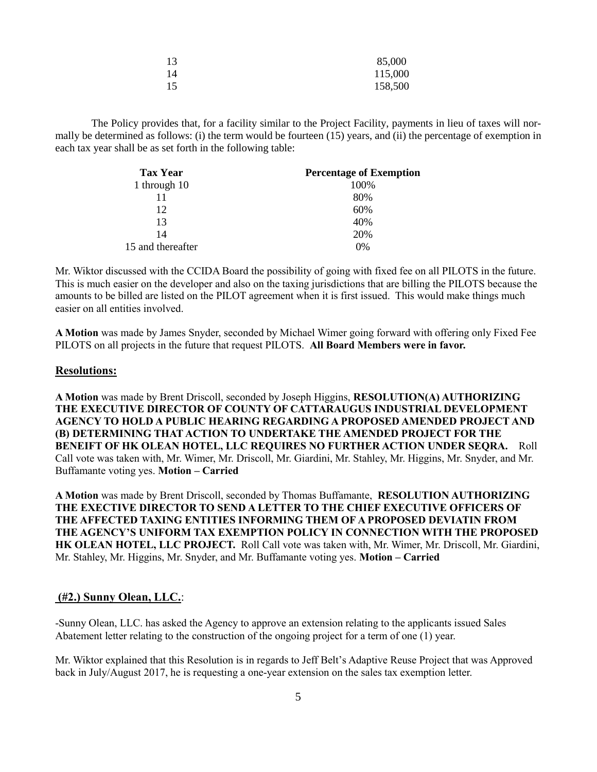| 13 | 85,000  |
|----|---------|
| 14 | 115,000 |
| 15 | 158,500 |

The Policy provides that, for a facility similar to the Project Facility, payments in lieu of taxes will normally be determined as follows: (i) the term would be fourteen (15) years, and (ii) the percentage of exemption in each tax year shall be as set forth in the following table:

| <b>Tax Year</b>   | <b>Percentage of Exemption</b> |
|-------------------|--------------------------------|
| 1 through 10      | 100%                           |
| 11                | 80%                            |
| 12.               | 60%                            |
| 13                | 40%                            |
| 14                | 20%                            |
| 15 and thereafter | 0%                             |

Mr. Wiktor discussed with the CCIDA Board the possibility of going with fixed fee on all PILOTS in the future. This is much easier on the developer and also on the taxing jurisdictions that are billing the PILOTS because the amounts to be billed are listed on the PILOT agreement when it is first issued. This would make things much easier on all entities involved.

**A Motion** was made by James Snyder, seconded by Michael Wimer going forward with offering only Fixed Fee PILOTS on all projects in the future that request PILOTS. **All Board Members were in favor.**

#### **Resolutions:**

**A Motion** was made by Brent Driscoll, seconded by Joseph Higgins, **RESOLUTION(A) AUTHORIZING THE EXECUTIVE DIRECTOR OF COUNTY OF CATTARAUGUS INDUSTRIAL DEVELOPMENT AGENCY TO HOLD A PUBLIC HEARING REGARDING A PROPOSED AMENDED PROJECT AND (B) DETERMINING THAT ACTION TO UNDERTAKE THE AMENDED PROJECT FOR THE BENEIFT OF HK OLEAN HOTEL, LLC REQUIRES NO FURTHER ACTION UNDER SEQRA.** Roll Call vote was taken with, Mr. Wimer, Mr. Driscoll, Mr. Giardini, Mr. Stahley, Mr. Higgins, Mr. Snyder, and Mr. Buffamante voting yes. **Motion – Carried** 

**A Motion** was made by Brent Driscoll, seconded by Thomas Buffamante, **RESOLUTION AUTHORIZING THE EXECTIVE DIRECTOR TO SEND A LETTER TO THE CHIEF EXECUTIVE OFFICERS OF THE AFFECTED TAXING ENTITIES INFORMING THEM OF A PROPOSED DEVIATIN FROM THE AGENCY'S UNIFORM TAX EXEMPTION POLICY IN CONNECTION WITH THE PROPOSED HK OLEAN HOTEL, LLC PROJECT.** Roll Call vote was taken with, Mr. Wimer, Mr. Driscoll, Mr. Giardini, Mr. Stahley, Mr. Higgins, Mr. Snyder, and Mr. Buffamante voting yes. **Motion – Carried** 

# **(#2.) Sunny Olean, LLC.**:

-Sunny Olean, LLC. has asked the Agency to approve an extension relating to the applicants issued Sales Abatement letter relating to the construction of the ongoing project for a term of one (1) year.

Mr. Wiktor explained that this Resolution is in regards to Jeff Belt's Adaptive Reuse Project that was Approved back in July/August 2017, he is requesting a one-year extension on the sales tax exemption letter.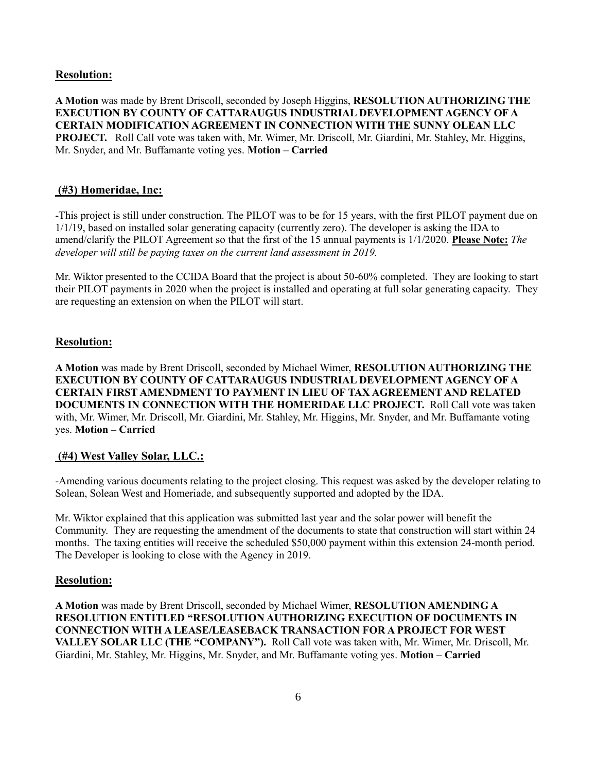### **Resolution:**

**A Motion** was made by Brent Driscoll, seconded by Joseph Higgins, **RESOLUTION AUTHORIZING THE EXECUTION BY COUNTY OF CATTARAUGUS INDUSTRIAL DEVELOPMENT AGENCY OF A CERTAIN MODIFICATION AGREEMENT IN CONNECTION WITH THE SUNNY OLEAN LLC PROJECT.** Roll Call vote was taken with, Mr. Wimer, Mr. Driscoll, Mr. Giardini, Mr. Stahley, Mr. Higgins, Mr. Snyder, and Mr. Buffamante voting yes. **Motion – Carried** 

### **(#3) Homeridae, Inc:**

-This project is still under construction. The PILOT was to be for 15 years, with the first PILOT payment due on 1/1/19, based on installed solar generating capacity (currently zero). The developer is asking the IDA to amend/clarify the PILOT Agreement so that the first of the 15 annual payments is 1/1/2020. **Please Note:** *The developer will still be paying taxes on the current land assessment in 2019.* 

Mr. Wiktor presented to the CCIDA Board that the project is about 50-60% completed. They are looking to start their PILOT payments in 2020 when the project is installed and operating at full solar generating capacity. They are requesting an extension on when the PILOT will start.

### **Resolution:**

**A Motion** was made by Brent Driscoll, seconded by Michael Wimer, **RESOLUTION AUTHORIZING THE EXECUTION BY COUNTY OF CATTARAUGUS INDUSTRIAL DEVELOPMENT AGENCY OF A CERTAIN FIRST AMENDMENT TO PAYMENT IN LIEU OF TAX AGREEMENT AND RELATED DOCUMENTS IN CONNECTION WITH THE HOMERIDAE LLC PROJECT.** Roll Call vote was taken with, Mr. Wimer, Mr. Driscoll, Mr. Giardini, Mr. Stahley, Mr. Higgins, Mr. Snyder, and Mr. Buffamante voting yes. **Motion – Carried** 

#### **(#4) West Valley Solar, LLC.:**

-Amending various documents relating to the project closing. This request was asked by the developer relating to Solean, Solean West and Homeriade, and subsequently supported and adopted by the IDA.

Mr. Wiktor explained that this application was submitted last year and the solar power will benefit the Community. They are requesting the amendment of the documents to state that construction will start within 24 months. The taxing entities will receive the scheduled \$50,000 payment within this extension 24-month period. The Developer is looking to close with the Agency in 2019.

#### **Resolution:**

**A Motion** was made by Brent Driscoll, seconded by Michael Wimer, **RESOLUTION AMENDING A RESOLUTION ENTITLED "RESOLUTION AUTHORIZING EXECUTION OF DOCUMENTS IN CONNECTION WITH A LEASE/LEASEBACK TRANSACTION FOR A PROJECT FOR WEST VALLEY SOLAR LLC (THE "COMPANY").** Roll Call vote was taken with, Mr. Wimer, Mr. Driscoll, Mr. Giardini, Mr. Stahley, Mr. Higgins, Mr. Snyder, and Mr. Buffamante voting yes. **Motion – Carried**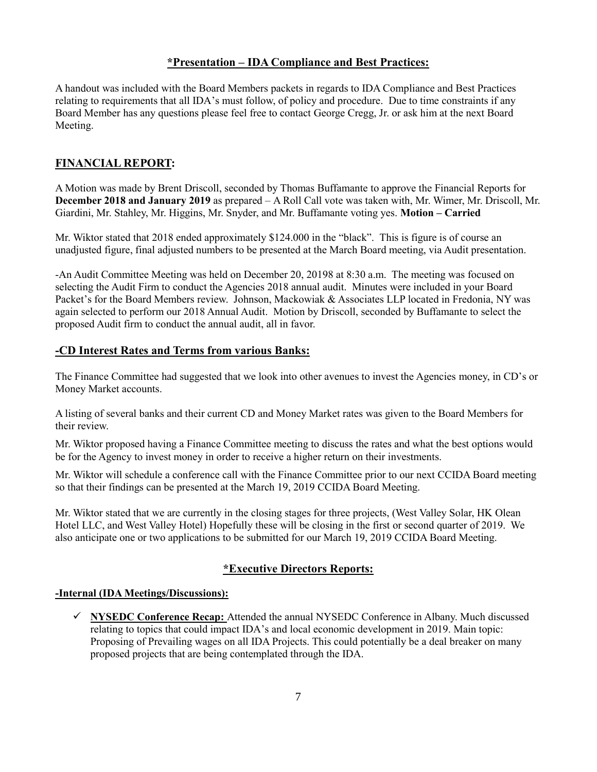## **\*Presentation – IDA Compliance and Best Practices:**

A handout was included with the Board Members packets in regards to IDA Compliance and Best Practices relating to requirements that all IDA's must follow, of policy and procedure. Due to time constraints if any Board Member has any questions please feel free to contact George Cregg, Jr. or ask him at the next Board Meeting.

# **FINANCIAL REPORT:**

A Motion was made by Brent Driscoll, seconded by Thomas Buffamante to approve the Financial Reports for **December 2018 and January 2019** as prepared – A Roll Call vote was taken with, Mr. Wimer, Mr. Driscoll, Mr. Giardini, Mr. Stahley, Mr. Higgins, Mr. Snyder, and Mr. Buffamante voting yes. **Motion – Carried** 

Mr. Wiktor stated that 2018 ended approximately \$124.000 in the "black". This is figure is of course an unadjusted figure, final adjusted numbers to be presented at the March Board meeting, via Audit presentation.

-An Audit Committee Meeting was held on December 20, 20198 at 8:30 a.m. The meeting was focused on selecting the Audit Firm to conduct the Agencies 2018 annual audit. Minutes were included in your Board Packet's for the Board Members review. Johnson, Mackowiak & Associates LLP located in Fredonia, NY was again selected to perform our 2018 Annual Audit. Motion by Driscoll, seconded by Buffamante to select the proposed Audit firm to conduct the annual audit, all in favor.

### **-CD Interest Rates and Terms from various Banks:**

The Finance Committee had suggested that we look into other avenues to invest the Agencies money, in CD's or Money Market accounts.

A listing of several banks and their current CD and Money Market rates was given to the Board Members for their review.

Mr. Wiktor proposed having a Finance Committee meeting to discuss the rates and what the best options would be for the Agency to invest money in order to receive a higher return on their investments.

Mr. Wiktor will schedule a conference call with the Finance Committee prior to our next CCIDA Board meeting so that their findings can be presented at the March 19, 2019 CCIDA Board Meeting.

Mr. Wiktor stated that we are currently in the closing stages for three projects, (West Valley Solar, HK Olean Hotel LLC, and West Valley Hotel) Hopefully these will be closing in the first or second quarter of 2019. We also anticipate one or two applications to be submitted for our March 19, 2019 CCIDA Board Meeting.

### **\*Executive Directors Reports:**

#### **-Internal (IDA Meetings/Discussions):**

✓ **NYSEDC Conference Recap:** Attended the annual NYSEDC Conference in Albany. Much discussed relating to topics that could impact IDA's and local economic development in 2019. Main topic: Proposing of Prevailing wages on all IDA Projects. This could potentially be a deal breaker on many proposed projects that are being contemplated through the IDA.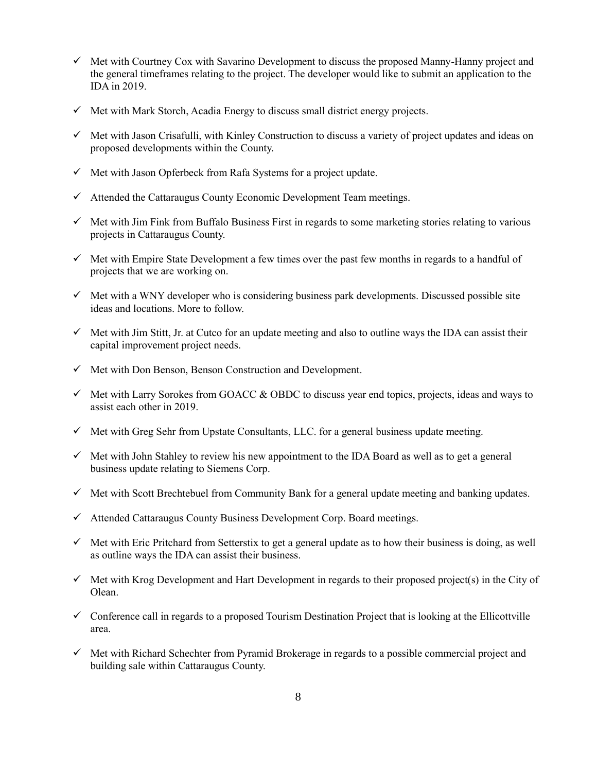- $\checkmark$  Met with Courtney Cox with Savarino Development to discuss the proposed Manny-Hanny project and the general timeframes relating to the project. The developer would like to submit an application to the IDA in 2019.
- $\checkmark$  Met with Mark Storch, Acadia Energy to discuss small district energy projects.
- ✓ Met with Jason Crisafulli, with Kinley Construction to discuss a variety of project updates and ideas on proposed developments within the County.
- $\checkmark$  Met with Jason Opferbeck from Rafa Systems for a project update.
- $\checkmark$  Attended the Cattaraugus County Economic Development Team meetings.
- $\checkmark$  Met with Jim Fink from Buffalo Business First in regards to some marketing stories relating to various projects in Cattaraugus County.
- $\checkmark$  Met with Empire State Development a few times over the past few months in regards to a handful of projects that we are working on.
- $\checkmark$  Met with a WNY developer who is considering business park developments. Discussed possible site ideas and locations. More to follow.
- $\checkmark$  Met with Jim Stitt, Jr. at Cutco for an update meeting and also to outline ways the IDA can assist their capital improvement project needs.
- $\checkmark$  Met with Don Benson, Benson Construction and Development.
- $\checkmark$  Met with Larry Sorokes from GOACC & OBDC to discuss year end topics, projects, ideas and ways to assist each other in 2019.
- $\checkmark$  Met with Greg Sehr from Upstate Consultants, LLC. for a general business update meeting.
- $\checkmark$  Met with John Stahley to review his new appointment to the IDA Board as well as to get a general business update relating to Siemens Corp.
- ✓ Met with Scott Brechtebuel from Community Bank for a general update meeting and banking updates.
- ✓ Attended Cattaraugus County Business Development Corp. Board meetings.
- ✓ Met with Eric Pritchard from Setterstix to get a general update as to how their business is doing, as well as outline ways the IDA can assist their business.
- $\checkmark$  Met with Krog Development and Hart Development in regards to their proposed project(s) in the City of Olean.
- $\checkmark$  Conference call in regards to a proposed Tourism Destination Project that is looking at the Ellicottville area.
- $\checkmark$  Met with Richard Schechter from Pyramid Brokerage in regards to a possible commercial project and building sale within Cattaraugus County.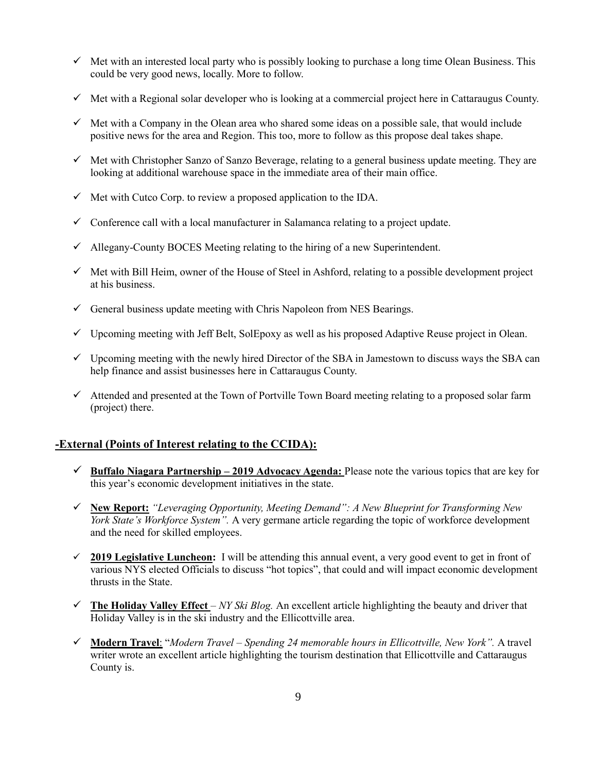- $\checkmark$  Met with an interested local party who is possibly looking to purchase a long time Olean Business. This could be very good news, locally. More to follow.
- $\checkmark$  Met with a Regional solar developer who is looking at a commercial project here in Cattaraugus County.
- $\checkmark$  Met with a Company in the Olean area who shared some ideas on a possible sale, that would include positive news for the area and Region. This too, more to follow as this propose deal takes shape.
- ✓ Met with Christopher Sanzo of Sanzo Beverage, relating to a general business update meeting. They are looking at additional warehouse space in the immediate area of their main office.
- $\checkmark$  Met with Cutco Corp. to review a proposed application to the IDA.
- $\checkmark$  Conference call with a local manufacturer in Salamanca relating to a project update.
- $\checkmark$  Allegany-County BOCES Meeting relating to the hiring of a new Superintendent.
- $\checkmark$  Met with Bill Heim, owner of the House of Steel in Ashford, relating to a possible development project at his business.
- $\checkmark$  General business update meeting with Chris Napoleon from NES Bearings.
- $\checkmark$  Upcoming meeting with Jeff Belt, SolEpoxy as well as his proposed Adaptive Reuse project in Olean.
- $\checkmark$  Upcoming meeting with the newly hired Director of the SBA in Jamestown to discuss ways the SBA can help finance and assist businesses here in Cattaraugus County.
- $\checkmark$  Attended and presented at the Town of Portville Town Board meeting relating to a proposed solar farm (project) there.

# **-External (Points of Interest relating to the CCIDA):**

- ✓ **Buffalo Niagara Partnership – 2019 Advocacy Agenda:** Please note the various topics that are key for this year's economic development initiatives in the state.
- ✓ **New Report:** *"Leveraging Opportunity, Meeting Demand": A New Blueprint for Transforming New York State's Workforce System".* A very germane article regarding the topic of workforce development and the need for skilled employees.
- ✓ **2019 Legislative Luncheon:** I will be attending this annual event, a very good event to get in front of various NYS elected Officials to discuss "hot topics", that could and will impact economic development thrusts in the State.
- $\checkmark$  The Holiday Valley Effect *NY Ski Blog.* An excellent article highlighting the beauty and driver that Holiday Valley is in the ski industry and the Ellicottville area.
- ✓ **Modern Travel**: "*Modern Travel – Spending 24 memorable hours in Ellicottville, New York".* A travel writer wrote an excellent article highlighting the tourism destination that Ellicottville and Cattaraugus County is.